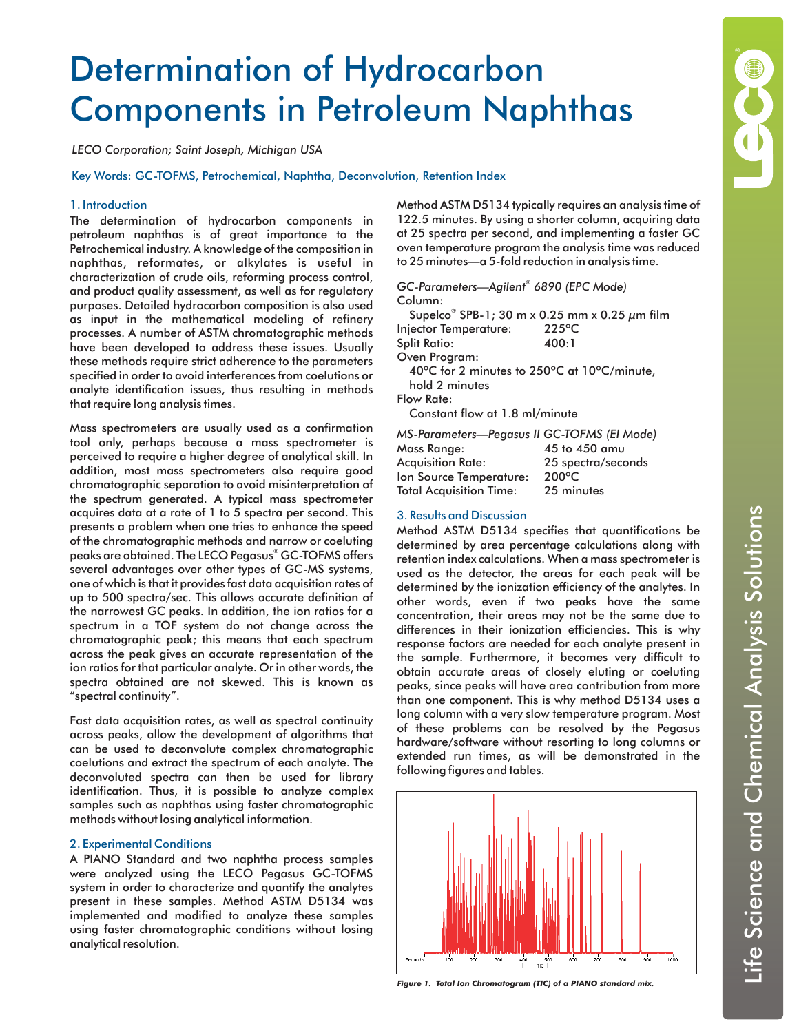# Determination of Hydrocarbon Components in Petroleum Naphthas

*LECO Corporation; Saint Joseph, Michigan USA*

Key Words: GC-TOFMS, Petrochemical, Naphtha, Deconvolution, Retention Index

## 1. Introduction

The determination of hydrocarbon components in petroleum naphthas is of great importance to the Petrochemical industry. A knowledge of the composition in naphthas, reformates, or alkylates is useful in characterization of crude oils, reforming process control, and product quality assessment, as well as for regulatory purposes. Detailed hydrocarbon composition is also used as input in the mathematical modeling of refinery processes. A number of ASTM chromatographic methods have been developed to address these issues. Usually these methods require strict adherence to the parameters specified in order to avoid interferences from coelutions or analyte identification issues, thus resulting in methods that require long analysis times.

Mass spectrometers are usually used as a confirmation tool only, perhaps because a mass spectrometer is perceived to require a higher degree of analytical skill. In addition, most mass spectrometers also require good chromatographic separation to avoid misinterpretation of the spectrum generated. A typical mass spectrometer acquires data at a rate of 1 to 5 spectra per second. This presents a problem when one tries to enhance the speed of the chromatographic methods and narrow or coeluting peaks are obtained. The LECO Pegasus® GC-TOFMS offers several advantages over other types of GC-MS systems, one of which is that it provides fast data acquisition rates of up to 500 spectra/sec. This allows accurate definition of the narrowest GC peaks. In addition, the ion ratios for a spectrum in a TOF system do not change across the chromatographic peak; this means that each spectrum across the peak gives an accurate representation of the ion ratios for that particular analyte. Or in other words, the spectra obtained are not skewed. This is known as "spectral continuity".

Fast data acquisition rates, as well as spectral continuity across peaks, allow the development of algorithms that can be used to deconvolute complex chromatographic coelutions and extract the spectrum of each analyte. The deconvoluted spectra can then be used for library identification. Thus, it is possible to analyze complex samples such as naphthas using faster chromatographic methods without losing analytical information.

# 2. Experimental Conditions

A PIANO Standard and two naphtha process samples were analyzed using the LECO Pegasus GC-TOFMS system in order to characterize and quantify the analytes present in these samples. Method ASTM D5134 was implemented and modified to analyze these samples using faster chromatographic conditions without losing analytical resolution.

Method ASTM D5134 typically requires an analysis time of 122.5 minutes. By using a shorter column, acquiring data at 25 spectra per second, and implementing a faster GC oven temperature program the analysis time was reduced to 25 minutes—a 5-fold reduction in analysis time.

Column: *GC-Parameters—Agilent 6890 (EPC Mode) ®*

Supelco® SPB-1; 30 m x 0.25 mm x 0.25  $\mu$ m film Injector Temperature: 225ºC Split Ratio: 400:1 Oven Program: 40ºC for 2 minutes to 250ºC at 10ºC/minute,

hold 2 minutes Flow Rate:

Constant flow at 1.8 ml/minute

| MS-Parameters—Pegasus II GC-TOFMS (EI Mode) |                    |
|---------------------------------------------|--------------------|
| Mass Range: .                               | 45 to 450 amu      |
| Acquisition Rate:                           | 25 spectra/seconds |
| lon Source Temperature:                     | 200 $\circ$ C      |

| Acquisinum ivaie.       | <b>ZU SPECTION SECUTIO</b> |
|-------------------------|----------------------------|
| Ion Source Temperature: | $200^{\circ}$ C            |
| Total Acquisition Time: | 25 minutes                 |

### 3. Results and Discussion

Method ASTM D5134 specifies that quantifications be determined by area percentage calculations along with retention index calculations. When a mass spectrometer is used as the detector, the areas for each peak will be determined by the ionization efficiency of the analytes. In other words, even if two peaks have the same concentration, their areas may not be the same due to differences in their ionization efficiencies. This is why response factors are needed for each analyte present in the sample. Furthermore, it becomes very difficult to obtain accurate areas of closely eluting or coeluting peaks, since peaks will have area contribution from more than one component. This is why method D5134 uses a long column with a very slow temperature program. Most of these problems can be resolved by the Pegasus hardware/software without resorting to long columns or extended run times, as will be demonstrated in the following figures and tables.



*Figure 1. Total Ion Chromatogram (TIC) of a PIANO standard mix.*

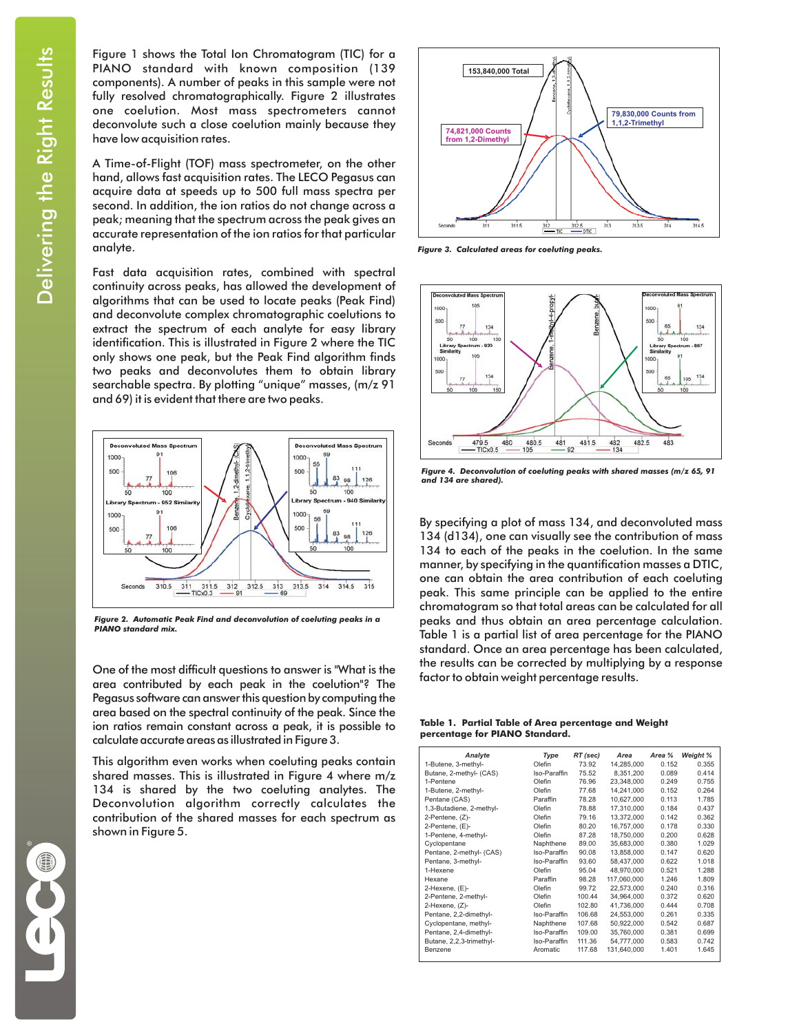Figure 1 shows the Total Ion Chromatogram (TIC) for a PIANO standard with known composition (139 components). A number of peaks in this sample were not fully resolved chromatographically. Figure 2 illustrates one coelution. Most mass spectrometers cannot deconvolute such a close coelution mainly because they have low acquisition rates.

A Time-of-Flight (TOF) mass spectrometer, on the other hand, allows fast acquisition rates. The LECO Pegasus can acquire data at speeds up to 500 full mass spectra per second. In addition, the ion ratios do not change across a peak; meaning that the spectrum across the peak gives an accurate representation of the ion ratios for that particular analyte.

Fast data acquisition rates, combined with spectral continuity across peaks, has allowed the development of algorithms that can be used to locate peaks (Peak Find) and deconvolute complex chromatographic coelutions to extract the spectrum of each analyte for easy library identification. This is illustrated in Figure 2 where the TIC only shows one peak, but the Peak Find algorithm finds two peaks and deconvolutes them to obtain library searchable spectra. By plotting "unique" masses, (m/z 91 and 69) it is evident that there are two peaks.



*Figure 2. Automatic Peak Find and deconvolution of coeluting peaks in a PIANO standard mix.*

One of the most difficult questions to answer is "What is the area contributed by each peak in the coelution"? The Pegasus software can answer this question by computing the area based on the spectral continuity of the peak. Since the ion ratios remain constant across a peak, it is possible to calculate accurate areas as illustrated in Figure 3.

This algorithm even works when coeluting peaks contain shared masses. This is illustrated in Figure 4 where m/z 134 is shared by the two coeluting analytes. The Deconvolution algorithm correctly calculates the contribution of the shared masses for each spectrum as shown in Figure 5.



*Figure 3. Calculated areas for coeluting peaks.*



*Figure 4. Deconvolution of coeluting peaks with shared masses (m/z 65, 91 and 134 are shared).*

By specifying a plot of mass 134, and deconvoluted mass 134 (d134), one can visually see the contribution of mass 134 to each of the peaks in the coelution. In the same manner, by specifying in the quantification masses a DTIC, one can obtain the area contribution of each coeluting peak. This same principle can be applied to the entire chromatogram so that total areas can be calculated for all peaks and thus obtain an area percentage calculation. Table 1 is a partial list of area percentage for the PIANO standard. Once an area percentage has been calculated, the results can be corrected by multiplying by a response factor to obtain weight percentage results.

Table 1.Partial Table of Area percentage and Weight **for PIANO Standard. percentage**

| Analyte                  | Type         | RT (sec) | Area        | Area % | Weight % |
|--------------------------|--------------|----------|-------------|--------|----------|
| 1-Butene, 3-methyl-      | Olefin       | 73.92    | 14.285.000  | 0.152  | 0.355    |
| Butane, 2-methyl- (CAS)  | Iso-Paraffin | 75.52    | 8.351.200   | 0.089  | 0.414    |
| 1-Pentene                | Olefin       | 76.96    | 23.348.000  | 0.249  | 0.755    |
| 1-Butene, 2-methyl-      | Olefin       | 77.68    | 14.241.000  | 0.152  | 0.264    |
| Pentane (CAS)            | Paraffin     | 78.28    | 10.627.000  | 0.113  | 1.785    |
| 1,3-Butadiene, 2-methyl- | Olefin       | 78.88    | 17.310.000  | 0.184  | 0.437    |
| 2-Pentene, (Z)-          | Olefin       | 79.16    | 13.372.000  | 0.142  | 0.362    |
| 2-Pentene, (E)-          | Olefin       | 80.20    | 16,757,000  | 0.178  | 0.330    |
| 1-Pentene, 4-methyl-     | Olefin       | 87.28    | 18.750.000  | 0.200  | 0.628    |
| Cyclopentane             | Naphthene    | 89.00    | 35.683.000  | 0.380  | 1.029    |
| Pentane, 2-methyl- (CAS) | Iso-Paraffin | 90.08    | 13,858,000  | 0.147  | 0.620    |
| Pentane, 3-methyl-       | Iso-Paraffin | 93.60    | 58.437.000  | 0.622  | 1.018    |
| 1-Hexene                 | Olefin       | 95.04    | 48.970.000  | 0.521  | 1.288    |
| Hexane                   | Paraffin     | 98.28    | 117.060.000 | 1.246  | 1.809    |
| 2-Hexene, (E)-           | Olefin       | 99.72    | 22,573,000  | 0.240  | 0.316    |
| 2-Pentene, 2-methyl-     | Olefin       | 100.44   | 34,964,000  | 0.372  | 0.620    |
| 2-Hexene, (Z)-           | Olefin       | 102.80   | 41.736.000  | 0.444  | 0.708    |
| Pentane, 2,2-dimethyl-   | Iso-Paraffin | 106.68   | 24.553.000  | 0.261  | 0.335    |
| Cyclopentane, methyl-    | Naphthene    | 107.68   | 50,922,000  | 0.542  | 0.687    |
| Pentane, 2,4-dimethyl-   | Iso-Paraffin | 109.00   | 35.760.000  | 0.381  | 0.699    |
| Butane, 2,2,3-trimethyl- | Iso-Paraffin | 111.36   | 54,777,000  | 0.583  | 0.742    |
| Benzene                  | Aromatic     | 117.68   | 131.640.000 | 1.401  | 1.645    |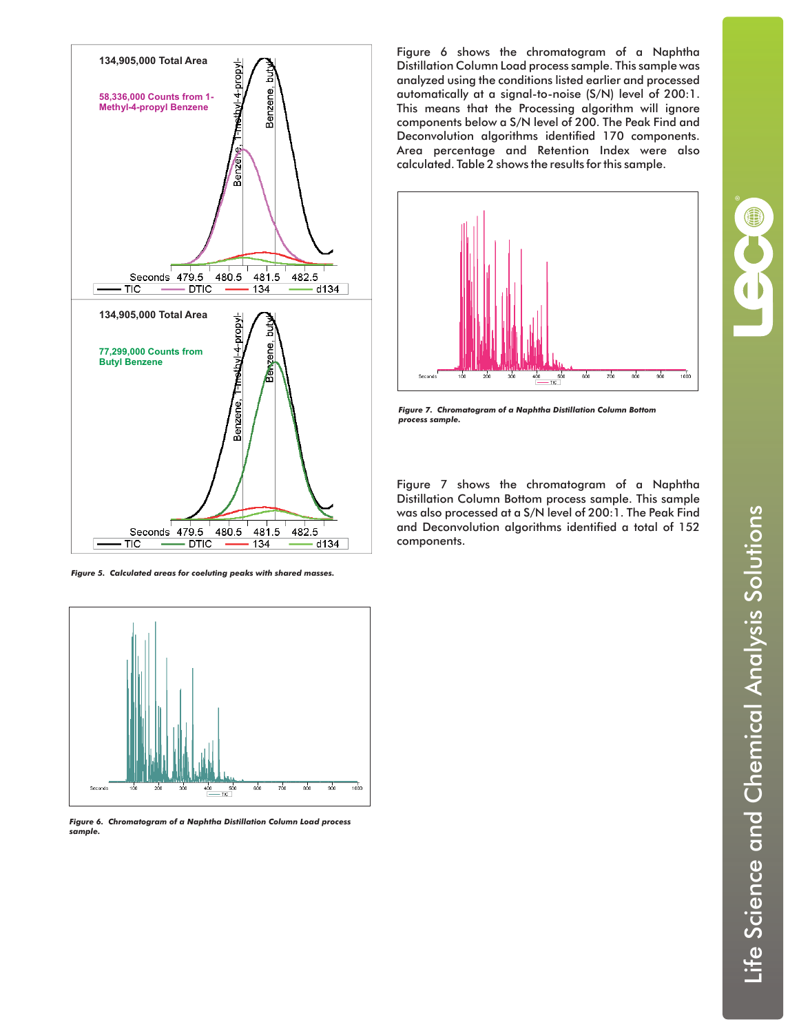

*Figure 5. Calculated areas for coeluting peaks with shared masses.*



*Figure 6. Chromatogram of a Naphtha Distillation Column Load process sample.*

Figure 6 shows the chromatogram of a Naphtha Distillation Column Load process sample. This sample was analyzed using the conditions listed earlier and processed automatically at a signal-to-noise (S/N) level of 200:1. This means that the Processing algorithm will ignore components below a S/N level of 200. The Peak Find and Deconvolution algorithms identified 170 components. Area percentage and Retention Index were also calculated. Table 2 shows the results for this sample.



*Figure 7. Chromatogram of a Naphtha Distillation Column Bottom process sample.*

Figure 7 shows the chromatogram of a Naphtha Distillation Column Bottom process sample. This sample was also processed at a S/N level of 200:1. The Peak Find and Deconvolution algorithms identified a total of 152 components.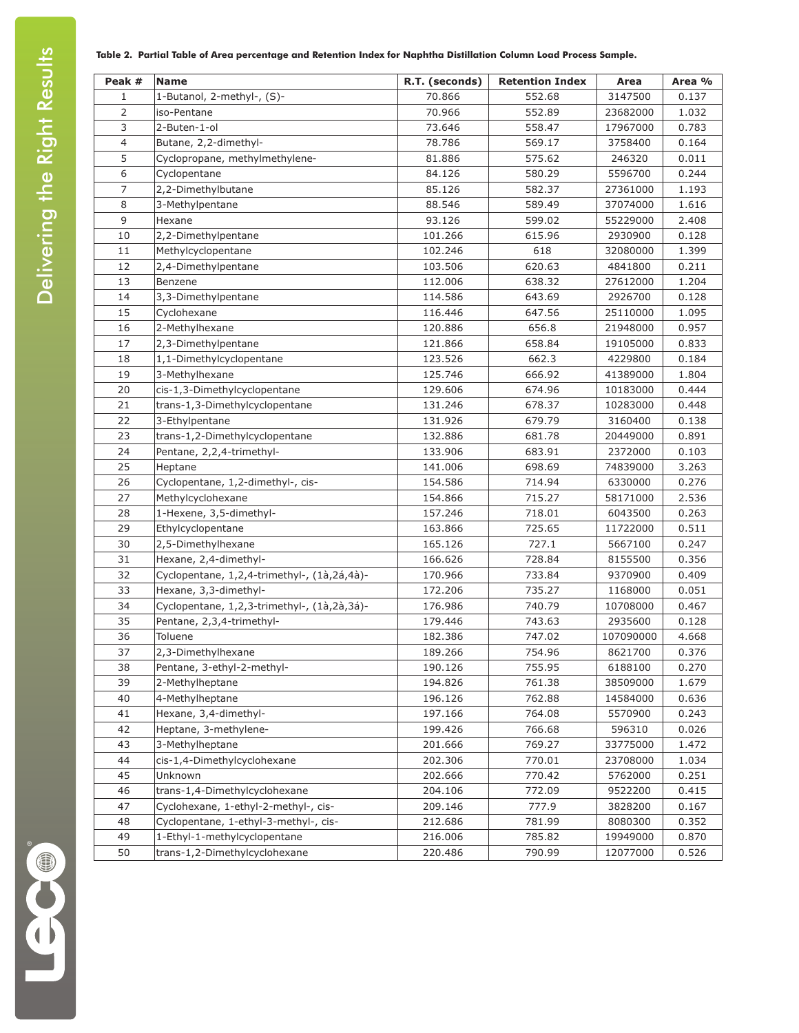#### **Table 2. Partial Table of Area percentage and Retention Index for Naphtha Distillation Column Load Process Sample.**

| Peak #<br>1    | <b>Name</b>                                 | R.T. (seconds)<br>70.866 | <b>Retention Index</b><br>552.68 | Area<br>3147500 | Area %<br>0.137 |
|----------------|---------------------------------------------|--------------------------|----------------------------------|-----------------|-----------------|
| $\overline{2}$ | 1-Butanol, 2-methyl-, (S)-                  | 70.966                   | 552.89                           |                 |                 |
| 3              | iso-Pentane<br>2-Buten-1-ol                 | 73.646                   | 558.47                           | 23682000        | 1.032<br>0.783  |
| $\overline{4}$ |                                             |                          |                                  | 17967000        |                 |
| 5              | Butane, 2,2-dimethyl-                       | 78.786                   | 569.17                           | 3758400         | 0.164           |
| 6              | Cyclopropane, methylmethylene-              | 81.886                   | 575.62                           | 246320          | 0.011           |
|                | Cyclopentane                                | 84.126                   | 580.29                           | 5596700         | 0.244           |
| 7              | 2,2-Dimethylbutane                          | 85.126                   | 582.37                           | 27361000        | 1.193           |
| 8              | 3-Methylpentane                             | 88.546                   | 589.49                           | 37074000        | 1.616           |
| 9              | Hexane                                      | 93.126                   | 599.02                           | 55229000        | 2.408           |
| 10             | 2,2-Dimethylpentane                         | 101.266                  | 615.96                           | 2930900         | 0.128           |
| 11             | Methylcyclopentane                          | 102.246                  | 618                              | 32080000        | 1.399           |
| 12             | 2,4-Dimethylpentane                         | 103.506                  | 620.63                           | 4841800         | 0.211           |
| 13             | Benzene                                     | 112.006                  | 638.32                           | 27612000        | 1.204           |
| 14             | 3,3-Dimethylpentane                         | 114.586                  | 643.69                           | 2926700         | 0.128           |
| 15             | Cyclohexane                                 | 116.446                  | 647.56                           | 25110000        | 1.095           |
| 16             | 2-Methylhexane                              | 120.886                  | 656.8                            | 21948000        | 0.957           |
| 17             | 2,3-Dimethylpentane                         | 121.866                  | 658.84                           | 19105000        | 0.833           |
| 18             | 1,1-Dimethylcyclopentane                    | 123.526                  | 662.3                            | 4229800         | 0.184           |
| 19             | 3-Methylhexane                              | 125.746                  | 666.92                           | 41389000        | 1.804           |
| 20             | cis-1,3-Dimethylcyclopentane                | 129.606                  | 674.96                           | 10183000        | 0.444           |
| 21             | trans-1,3-Dimethylcyclopentane              | 131.246                  | 678.37                           | 10283000        | 0.448           |
| 22             | 3-Ethylpentane                              | 131.926                  | 679.79                           | 3160400         | 0.138           |
| 23             | trans-1,2-Dimethylcyclopentane              | 132.886                  | 681.78                           | 20449000        | 0.891           |
| 24             | Pentane, 2,2,4-trimethyl-                   | 133.906                  | 683.91                           | 2372000         | 0.103           |
| 25             | Heptane                                     | 141.006                  | 698.69                           | 74839000        | 3.263           |
| 26             | Cyclopentane, 1,2-dimethyl-, cis-           | 154.586                  | 714.94                           | 6330000         | 0.276           |
| 27             | Methylcyclohexane                           | 154.866                  | 715.27                           | 58171000        | 2.536           |
| 28             | 1-Hexene, 3,5-dimethyl-                     | 157.246                  | 718.01                           | 6043500         | 0.263           |
| 29             | Ethylcyclopentane                           | 163.866                  | 725.65                           | 11722000        | 0.511           |
| 30             | 2,5-Dimethylhexane                          | 165.126                  | 727.1                            | 5667100         | 0.247           |
| 31             | Hexane, 2,4-dimethyl-                       | 166.626                  | 728.84                           | 8155500         | 0.356           |
| 32             | Cyclopentane, 1,2,4-trimethyl-, (1à,2á,4à)- | 170.966                  | 733.84                           | 9370900         | 0.409           |
| 33             | Hexane, 3,3-dimethyl-                       | 172.206                  | 735.27                           | 1168000         | 0.051           |
| 34             | Cyclopentane, 1,2,3-trimethyl-, (1à,2à,3á)- | 176.986                  | 740.79                           | 10708000        | 0.467           |
| 35             | Pentane, 2,3,4-trimethyl-                   | 179.446                  | 743.63                           | 2935600         | 0.128           |
| 36             | Toluene                                     | 182.386                  | 747.02                           | 107090000       | 4.668           |
| 37             | 2,3-Dimethylhexane                          | 189.266                  | 754.96                           | 8621700         | 0.376           |
| 38             | Pentane, 3-ethyl-2-methyl-                  | 190.126                  | 755.95                           | 6188100         | 0.270           |
| 39             | 2-Methylheptane                             | 194.826                  | 761.38                           | 38509000        | 1.679           |
| 40             | 4-Methylheptane                             | 196.126                  | 762.88                           | 14584000        | 0.636           |
| 41             | Hexane, 3,4-dimethyl-                       | 197.166                  | 764.08                           | 5570900         | 0.243           |
| 42             | Heptane, 3-methylene-                       | 199.426                  | 766.68                           | 596310          | 0.026           |
| 43             | 3-Methylheptane                             | 201.666                  | 769.27                           | 33775000        | 1.472           |
| 44             | cis-1,4-Dimethylcyclohexane                 | 202.306                  | 770.01                           | 23708000        | 1.034           |
| 45             | Unknown                                     | 202.666                  | 770.42                           | 5762000         | 0.251           |
| 46             | trans-1,4-Dimethylcyclohexane               | 204.106                  | 772.09                           | 9522200         | 0.415           |
| 47             | Cyclohexane, 1-ethyl-2-methyl-, cis-        | 209.146                  | 777.9                            | 3828200         | 0.167           |
| 48             | Cyclopentane, 1-ethyl-3-methyl-, cis-       | 212.686                  | 781.99                           | 8080300         | 0.352           |
| 49             | 1-Ethyl-1-methylcyclopentane                | 216.006                  | 785.82                           | 19949000        | 0.870           |
| 50             | trans-1,2-Dimethylcyclohexane               | 220.486                  | 790.99                           | 12077000        | 0.526           |

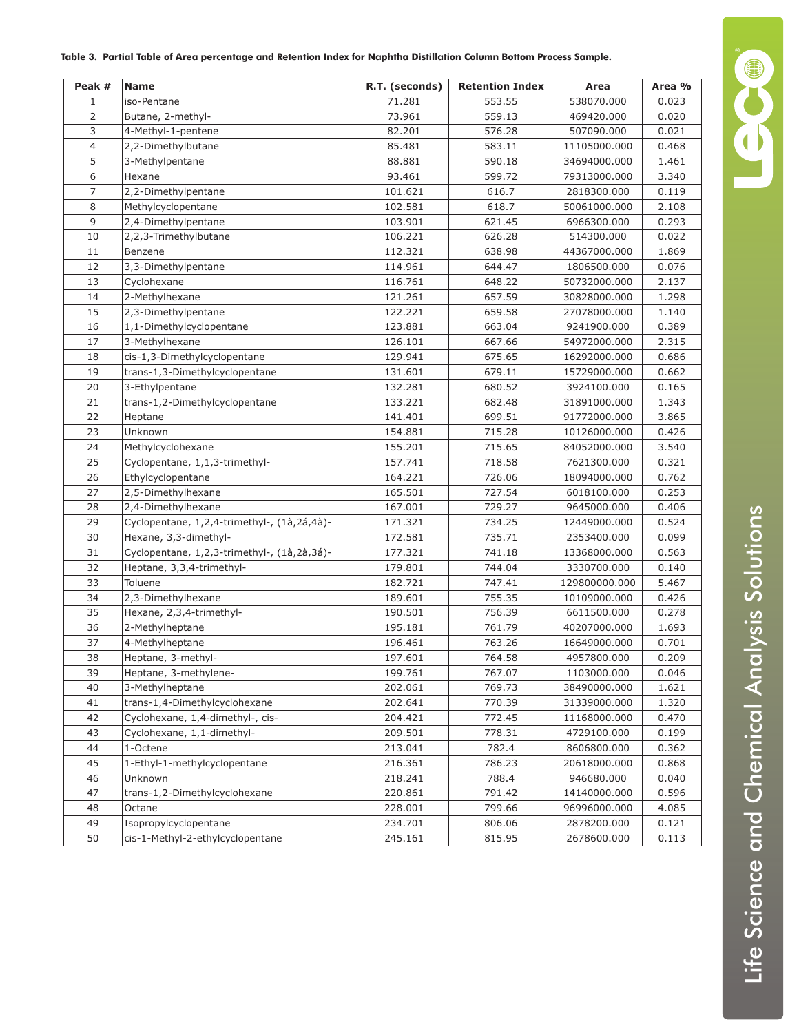| Table 3.  Partial Table of Area percentage and Retention Index for Naphtha Distillation Column Bottom Process Sample. |  |
|-----------------------------------------------------------------------------------------------------------------------|--|
|                                                                                                                       |  |

| Peak #         | <b>Name</b>                                 | R.T. (seconds) | <b>Retention Index</b> | Area          | Area % |
|----------------|---------------------------------------------|----------------|------------------------|---------------|--------|
| $\mathbf{1}$   | iso-Pentane                                 | 71.281         | 553.55                 | 538070.000    | 0.023  |
| 2              | Butane, 2-methyl-                           | 73.961         | 559.13                 | 469420.000    | 0.020  |
| 3              | 4-Methyl-1-pentene                          | 82.201         | 576.28                 | 507090.000    | 0.021  |
| $\overline{4}$ | 2,2-Dimethylbutane                          | 85.481         | 583.11                 | 11105000.000  | 0.468  |
| 5              | 3-Methylpentane                             | 88.881         | 590.18                 | 34694000.000  | 1.461  |
| 6              | Hexane                                      | 93.461         | 599.72                 | 79313000.000  | 3.340  |
| $\overline{7}$ | 2,2-Dimethylpentane                         | 101.621        | 616.7                  | 2818300.000   | 0.119  |
| 8              | Methylcyclopentane                          | 102.581        | 618.7                  | 50061000.000  | 2.108  |
| 9              | 2,4-Dimethylpentane                         | 103.901        | 621.45                 | 6966300.000   | 0.293  |
| 10             | 2,2,3-Trimethylbutane                       | 106.221        | 626.28                 | 514300.000    | 0.022  |
| 11             | Benzene                                     | 112.321        | 638.98                 | 44367000.000  | 1.869  |
| 12             | 3,3-Dimethylpentane                         | 114.961        | 644.47                 | 1806500.000   | 0.076  |
| 13             | Cyclohexane                                 | 116.761        | 648.22                 | 50732000.000  | 2.137  |
| 14             | 2-Methylhexane                              | 121.261        | 657.59                 | 30828000.000  | 1.298  |
| 15             | 2,3-Dimethylpentane                         | 122.221        | 659.58                 | 27078000.000  | 1.140  |
| 16             | 1,1-Dimethylcyclopentane                    | 123.881        | 663.04                 | 9241900.000   | 0.389  |
| 17             | 3-Methylhexane                              | 126.101        | 667.66                 | 54972000.000  | 2.315  |
| 18             | cis-1,3-Dimethylcyclopentane                | 129.941        | 675.65                 | 16292000.000  | 0.686  |
| 19             | trans-1,3-Dimethylcyclopentane              | 131.601        | 679.11                 | 15729000.000  | 0.662  |
| 20             | 3-Ethylpentane                              | 132.281        | 680.52                 | 3924100.000   | 0.165  |
| 21             | trans-1,2-Dimethylcyclopentane              | 133.221        | 682.48                 | 31891000.000  | 1.343  |
| 22             | Heptane                                     | 141.401        | 699.51                 | 91772000.000  | 3.865  |
| 23             | Unknown                                     | 154.881        | 715.28                 | 10126000.000  | 0.426  |
| 24             | Methylcyclohexane                           | 155.201        | 715.65                 | 84052000.000  | 3.540  |
| 25             | Cyclopentane, 1,1,3-trimethyl-              | 157.741        | 718.58                 | 7621300.000   | 0.321  |
| 26             | Ethylcyclopentane                           | 164.221        | 726.06                 | 18094000.000  | 0.762  |
| 27             | 2,5-Dimethylhexane                          | 165.501        | 727.54                 | 6018100.000   | 0.253  |
| 28             | 2,4-Dimethylhexane                          | 167.001        | 729.27                 | 9645000.000   | 0.406  |
| 29             | Cyclopentane, 1,2,4-trimethyl-, (1à,2á,4à)- | 171.321        | 734.25                 | 12449000.000  | 0.524  |
| 30             | Hexane, 3,3-dimethyl-                       | 172.581        | 735.71                 | 2353400.000   | 0.099  |
| 31             | Cyclopentane, 1,2,3-trimethyl-, (1à,2à,3á)- | 177.321        | 741.18                 | 13368000.000  | 0.563  |
| 32             | Heptane, 3,3,4-trimethyl-                   | 179.801        | 744.04                 | 3330700.000   | 0.140  |
| 33             | Toluene                                     | 182.721        | 747.41                 | 129800000.000 | 5.467  |
| 34             | 2,3-Dimethylhexane                          | 189.601        | 755.35                 | 10109000.000  | 0.426  |
| 35             | Hexane, 2,3,4-trimethyl-                    | 190.501        | 756.39                 | 6611500.000   | 0.278  |
| 36             | 2-Methylheptane                             | 195.181        | 761.79                 | 40207000.000  | 1.693  |
| 37             | 4-Methylheptane                             | 196.461        | 763.26                 | 16649000.000  | 0.701  |
| 38             | Heptane, 3-methyl-                          | 197.601        | 764.58                 | 4957800.000   | 0.209  |
| 39             | Heptane, 3-methylene-                       | 199.761        | 767.07                 | 1103000.000   | 0.046  |
| 40             | 3-Methylheptane                             | 202.061        | 769.73                 | 38490000.000  | 1.621  |
| 41             | trans-1,4-Dimethylcyclohexane               | 202.641        | 770.39                 | 31339000.000  | 1.320  |
| 42             | Cyclohexane, 1,4-dimethyl-, cis-            | 204.421        | 772.45                 | 11168000.000  | 0.470  |
| 43             | Cyclohexane, 1,1-dimethyl-                  | 209.501        | 778.31                 | 4729100.000   | 0.199  |
| 44             | 1-Octene                                    | 213.041        | 782.4                  | 8606800.000   | 0.362  |
| 45             | 1-Ethyl-1-methylcyclopentane                | 216.361        | 786.23                 | 20618000.000  | 0.868  |
| 46             | Unknown                                     | 218.241        | 788.4                  | 946680.000    | 0.040  |
| 47             | trans-1,2-Dimethylcyclohexane               | 220.861        | 791.42                 | 14140000.000  | 0.596  |
| 48             | Octane                                      | 228.001        | 799.66                 | 96996000.000  | 4.085  |
| 49             | Isopropylcyclopentane                       | 234.701        | 806.06                 | 2878200.000   | 0.121  |
| 50             | cis-1-Methyl-2-ethylcyclopentane            | 245.161        | 815.95                 | 2678600.000   | 0.113  |